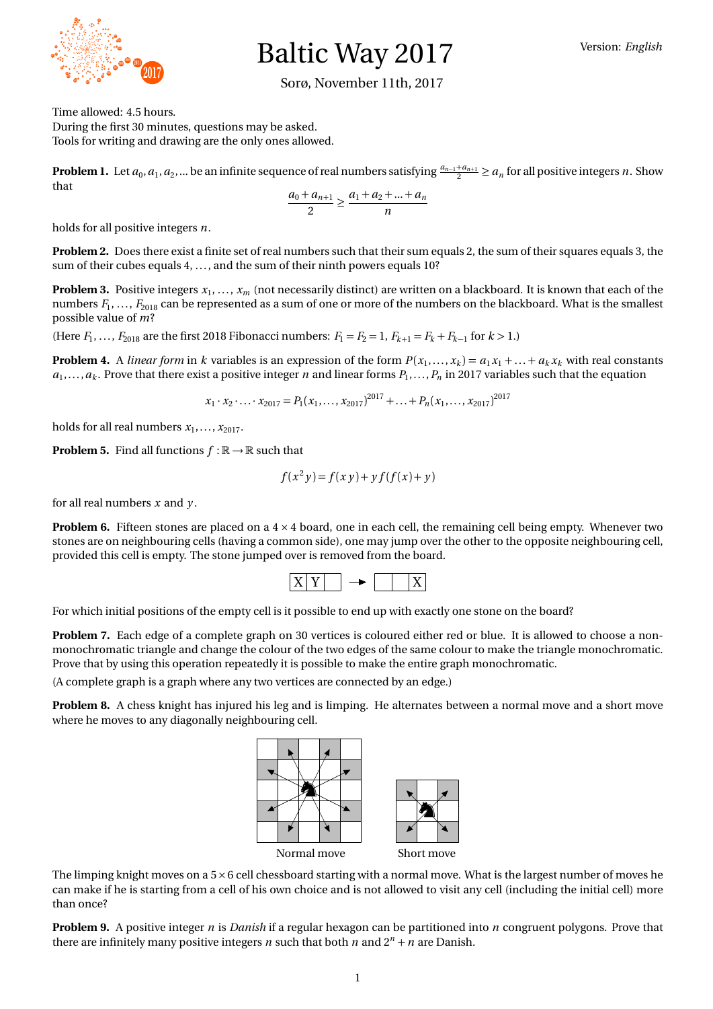

## Baltic Way 2017

## Sorø, November 11th, 2017

Time allowed: 4.5 hours. During the first 30 minutes, questions may be asked. Tools for writing and drawing are the only ones allowed.

**Problem 1.** Let  $a_0, a_1, a_2, ...$  be an infinite sequence of real numbers satisfying  $\frac{a_{n-1}+a_{n+1}}{2} \ge a_n$  for all positive integers *n*. Show that

$$
\frac{a_0 + a_{n+1}}{2} \ge \frac{a_1 + a_2 + \dots + a_n}{n}
$$

holds for all positive integers *n*.

**Problem 2.** Does there exist a finite set of real numbers such that their sum equals 2, the sum of their squares equals 3, the sum of their cubes equals 4, ..., and the sum of their ninth powers equals 10?

**Problem 3.** Positive integers *x*<sup>1</sup> , . . . , *x<sup>m</sup>* (not necessarily distinct) are written on a blackboard. It is known that each of the numbers  $F_1,\dots,F_{2018}$  can be represented as a sum of one or more of the numbers on the blackboard. What is the smallest possible value of *m*?

(Here  $F_1, \ldots, F_{2018}$  are the first 2018 Fibonacci numbers:  $F_1 = F_2 = 1, F_{k+1} = F_k + F_{k-1}$  for  $k > 1$ .)

**Problem 4.** A *linear form* in k variables is an expression of the form  $P(x_1,...,x_k) = a_1x_1 + ... + a_kx_k$  with real constants  $a_1, \ldots, a_k$ . Prove that there exist a positive integer n and linear forms  $P_1, \ldots, P_n$  in 2017 variables such that the equation *x***<sub>11</sub></sub> <b>7**  $\frac{1}{2}$ **11** with real **<sup>1283</sup> <sup>1307</sup> <sup>1361</sup> 1303**<br>**1303**<br>**141 h** that the equation  $\cdot$  with roal  $\alpha$ with real c<br>hat the equ  $\cdot x_k$  with real con  $\mathbf{r}_k x_k$  with real consistent **1974 11** A *linear form* in *k* variables is an expression of the form  $P(x_1,...,x_k) = a_1x_1 + ... + a_kx_k$  with real con

$$
x_1 \cdot x_2 \cdot \ldots \cdot x_{2017} = P_1(x_1, \ldots, x_{2017})^{2017} + \ldots + P_n(x_1, \ldots, x_{2017})^{2017}
$$

holds for all real numbers  $x_1, \ldots, x_{2017}$ .

**Problem 5.** Find all functions  $f : \mathbb{R} \to \mathbb{R}$  such that

$$
f(x^2y) = f(xy) + y f(f(x) + y)
$$

for all real numbers  $x$  and  $y$ .

**Problem 6.** Fifteen stones are placed on a  $4 \times 4$  board, one in each cell, the remaining cell being empty. Whenever two stones are on neighbouring cells (having a common side), one may jump over the other to the opposite neighbouring cell, provided this cell is empty. The stone jumped over is removed from the board.



For which initial positions of the empty cell is it possible to end up with exactly one stone on the board?

Problem 7. Each edge of a complete graph on 30 vertices is coloured either red or blue. It is allowed to choose a non-Thonochromatic triangic and change the colour of the two cuges of the same colour to make the triangi-<br>Prove that by using this operation repeatedly it is possible to make the entire graph monochromatic. monochromatic triangle and change the colour of the two edges of the same colour to make the triangle monochromatic. **160**<br> **160**<br> **160**<br> **160 <sup>1447</sup> <sup>1451</sup> 182**<br>**188** matic.<br>**18** move and **<sup>1663</sup> 1867 19511867**

 $\sim$  Cells on the boarding centre cells are connected by an edge.) the cells in the colours as follows.

(A complete graph is a graph where any two vertices are connected by an edge.)<br>**Problem 8.** A chess knight has injured his leg and is limping. He alternates between a normal move and a short move where he moves to any diagonally neighbouring cell. **1** move and a short m



The limping knight moves on a  $5\times6$  cell chessboard starting with a normal move. What is the largest number of moves he can make if he is starting from a cell of his own choice and is not allowed to visit any cell (including the initial cell) more than once?

The empty state  $\frac{1}{2}$  or  $\frac{1}{2}$  and  $\frac{1}{2}$  or  $\frac{1}{2}$  or  $\frac{1}{2}$  and  $\frac{1}{2}$  and  $\frac{1}{2}$   $\frac{1}{2}$   $\frac{1}{2}$   $\frac{1}{2}$   $\frac{1}{2}$   $\frac{1}{2}$   $\frac{1}{2}$  there are infinitely many positive integers *n* such t the centre cells. However, by symmetry (changing the colouring), the two remaining centre **Problem 9.** A positive integer *n* is *Danish* if a regular hexagon can be partitioned into *n* congruent polygons. Prove that